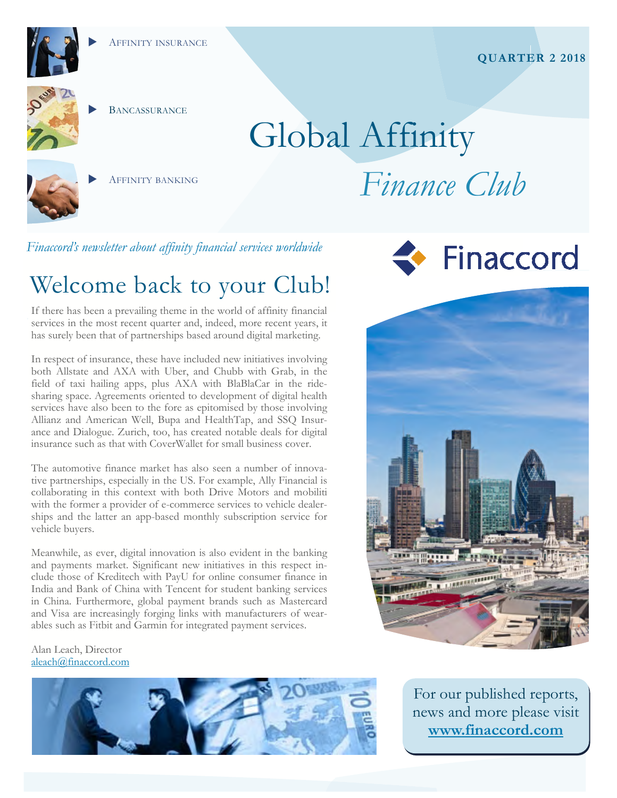

## **BANCASSURANCE**

# Global Affinity



AFFINITY BANKING

## *Finance Club*

*Finaccord's newsletter about affinity financial services worldwide* 

## Welcome back to your Club!

If there has been a prevailing theme in the world of affinity financial services in the most recent quarter and, indeed, more recent years, it has surely been that of partnerships based around digital marketing.

In respect of insurance, these have included new initiatives involving both Allstate and AXA with Uber, and Chubb with Grab, in the field of taxi hailing apps, plus AXA with BlaBlaCar in the ridesharing space. Agreements oriented to development of digital health services have also been to the fore as epitomised by those involving Allianz and American Well, Bupa and HealthTap, and SSQ Insurance and Dialogue. Zurich, too, has created notable deals for digital insurance such as that with CoverWallet for small business cover.

The automotive finance market has also seen a number of innovative partnerships, especially in the US. For example, Ally Financial is collaborating in this context with both Drive Motors and mobiliti with the former a provider of e-commerce services to vehicle dealerships and the latter an app-based monthly subscription service for vehicle buyers.

Meanwhile, as ever, digital innovation is also evident in the banking and payments market. Significant new initiatives in this respect include those of Kreditech with PayU for online consumer finance in India and Bank of China with Tencent for student banking services in China. Furthermore, global payment brands such as Mastercard and Visa are increasingly forging links with manufacturers of wearables such as Fitbit and Garmin for integrated payment services.

#### Alan Leach, Director aleach@finaccord.com







For our published reports, news and more please visit **www.finaccord.com**

#### **QUARTER 2 2018**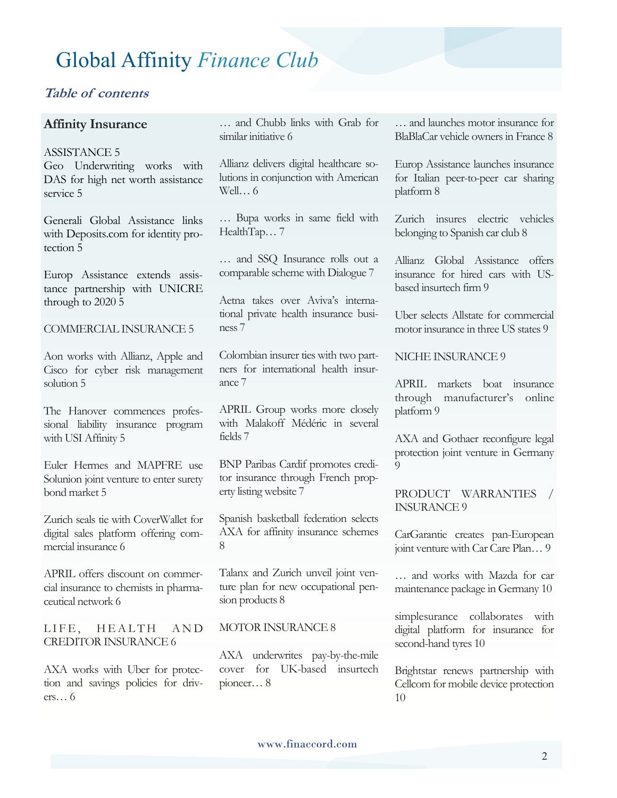#### **Table of contents**

#### **Affinity Insurance**

ASSISTANCE 5

Geo Underwriting works with DAS for high net worth assistance service 5

Generali Global Assistance links with Deposits.com for identity protection 5

Europ Assistance extends assistance partnership with UNICRE through to 2020 5

COMMERCIAL INSURANCE 5

Aon works with Allianz, Apple and Cisco for cyber risk management solution 5

The Hanover commences professional liability insurance program with USI Affinity 5

Euler Hermes and MAPFRE use Solunion joint venture to enter surety bond market 5

Zurich seals tie with CoverWallet for digital sales platform offering commercial insurance 6

APRIL offers discount on commercial insurance to chemists in pharmaceutical network 6

LIFE, HEALTH AND CREDITOR INSURANCE 6

AXA works with Uber for protection and savings policies for drivers… 6

… and Chubb links with Grab for similar initiative 6

Allianz delivers digital healthcare solutions in conjunction with American Well… 6

… Bupa works in same field with HealthTap...7

… and SSQ Insurance rolls out a comparable scheme with Dialogue 7

Aetna takes over Aviva's international private health insurance business 7

Colombian insurer ties with two partners for international health insurance 7

APRIL Group works more closely with Malakoff Médéric in several fields 7

BNP Paribas Cardif promotes creditor insurance through French property listing website 7

Spanish basketball federation selects AXA for affinity insurance schemes 8

Talanx and Zurich unveil joint venture plan for new occupational pension products 8

#### MOTOR INSURANCE 8

AXA underwrites pay-by-the-mile cover for UK-based insurtech pioneer… 8

… and launches motor insurance for BlaBlaCar vehicle owners in France 8

Europ Assistance launches insurance for Italian peer-to-peer car sharing platform 8

Zurich insures electric vehicles belonging to Spanish car club 8

Allianz Global Assistance offers insurance for hired cars with USbased insurtech firm 9

Uber selects Allstate for commercial motor insurance in three US states 9

NICHE INSURANCE 9

APRIL markets boat insurance through manufacturer's online platform 9

AXA and Gothaer reconfigure legal protection joint venture in Germany  $\Omega$ 

PRODUCT WARRANTIES / INSURANCE 9

CarGarantie creates pan-European joint venture with Car Care Plan… 9

… and works with Mazda for car maintenance package in Germany 10

simplesurance collaborates with digital platform for insurance for second-hand tyres 10

Brightstar renews partnership with Cellcom for mobile device protection 10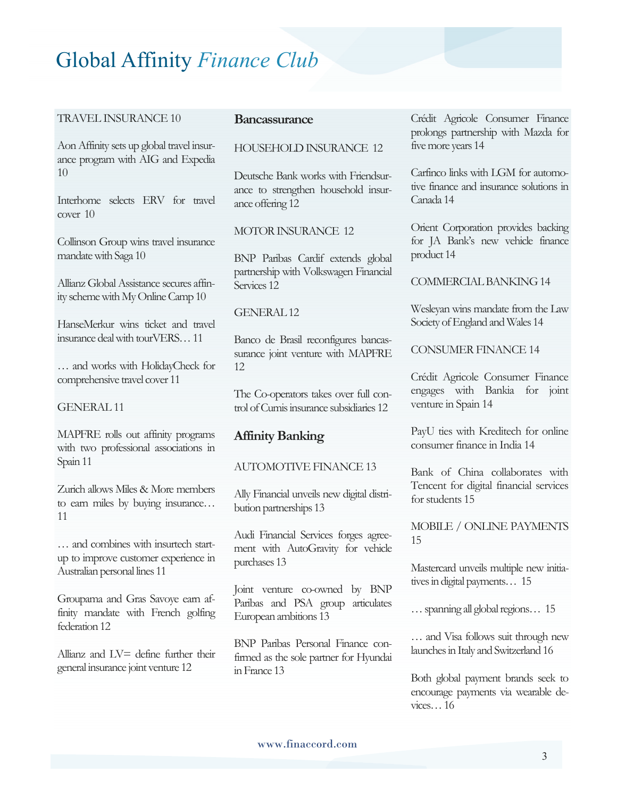#### TRAVEL INSURANCE 10

Aon Affinity sets up global travel insurance program with AIG and Expedia 10

Interhome selects ERV for travel cover 10

Collinson Group wins travel insurance mandate with Saga 10

Allianz Global Assistance secures affinity scheme with My Online Camp 10

HanseMerkur wins ticket and travel insurance deal with tourVERS… 11

… and works with HolidayCheck for comprehensive travel cover 11

GENERAL 11

MAPFRE rolls out affinity programs with two professional associations in Spain 11

Zurich allows Miles & More members to earn miles by buying insurance… 11

… and combines with insurtech startup to improve customer experience in Australian personal lines 11

Groupama and Gras Savoye earn affinity mandate with French golfing federation 12

Allianz and LV= define further their general insurance joint venture 12

#### **Bancassurance**

#### HOUSEHOLD INSURANCE 12

Deutsche Bank works with Friendsurance to strengthen household insurance offering 12

#### MOTOR INSURANCE 12

BNP Paribas Cardif extends global partnership with Volkswagen Financial Services 12

#### GENERAL 12

Banco de Brasil reconfigures bancassurance joint venture with MAPFRE 12

The Co-operators takes over full control of Cumis insurance subsidiaries 12

#### **Affinity Banking**

#### AUTOMOTIVE FINANCE 13

Ally Financial unveils new digital distribution partnerships 13

Audi Financial Services forges agreement with AutoGravity for vehicle purchases 13

Joint venture co-owned by BNP Paribas and PSA group articulates European ambitions 13

BNP Paribas Personal Finance confirmed as the sole partner for Hyundai in France 13

Crédit Agricole Consumer Finance prolongs partnership with Mazda for five more years 14

Carfinco links with LGM for automotive finance and insurance solutions in Canada 14

Orient Corporation provides backing for JA Bank's new vehicle finance product 14

COMMERCIAL BANKING 14

Wesleyan wins mandate from the Law Society of England and Wales 14

CONSUMER FINANCE 14

Crédit Agricole Consumer Finance engages with Bankia for joint venture in Spain 14

PayU ties with Kreditech for online consumer finance in India 14

Bank of China collaborates with Tencent for digital financial services for students 15

MOBILE / ONLINE PAYMENTS 15

Mastercard unveils multiple new initiatives in digital payments… 15

… spanning all global regions… 15

… and Visa follows suit through new launches in Italy and Switzerland 16

Both global payment brands seek to encourage payments via wearable devices… 16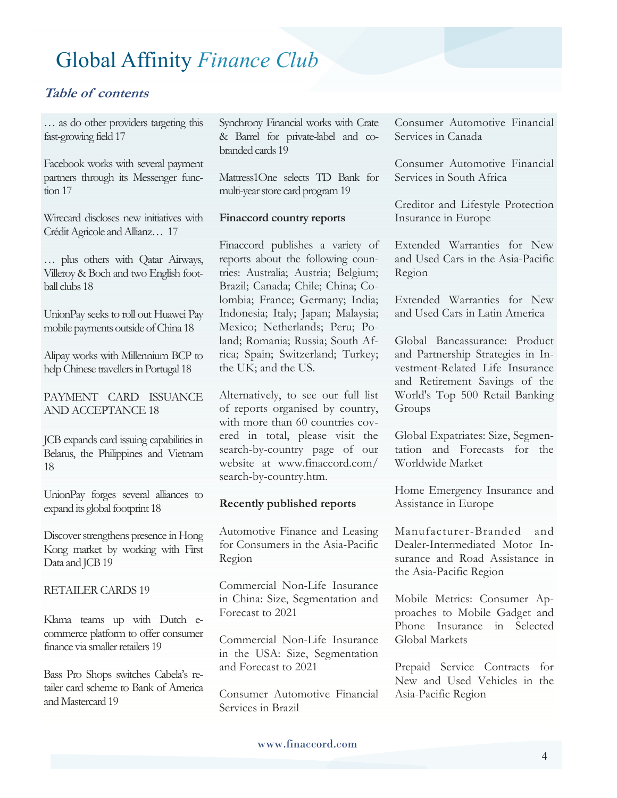#### **Table of contents**

… as do other providers targeting this fast-growing field 17

Facebook works with several payment partners through its Messenger function 17

Wirecard discloses new initiatives with Crédit Agricole and Allianz… 17

… plus others with Qatar Airways, Villeroy & Boch and two English football clubs 18

UnionPay seeks to roll out Huawei Pay mobile payments outside of China 18

Alipay works with Millennium BCP to help Chinese travellers in Portugal 18

PAYMENT CARD ISSUANCE AND ACCEPTANCE 18

JCB expands card issuing capabilities in Belarus, the Philippines and Vietnam 18

UnionPay forges several alliances to expand its global footprint 18

Discover strengthens presence in Hong Kong market by working with First Data and JCB 19

RETAILER CARDS 19

Klarna teams up with Dutch ecommerce platform to offer consumer finance via smaller retailers 19

Bass Pro Shops switches Cabela's retailer card scheme to Bank of America and Mastercard 19

Synchrony Financial works with Crate & Barrel for private-label and cobranded cards 19

Mattress1One selects TD Bank for multi-year store card program 19

#### **Finaccord country reports**

Finaccord publishes a variety of reports about the following countries: Australia; Austria; Belgium; Brazil; Canada; Chile; China; Colombia; France; Germany; India; Indonesia; Italy; Japan; Malaysia; Mexico; Netherlands; Peru; Poland; Romania; Russia; South Africa; Spain; Switzerland; Turkey; the UK; and the US.

Alternatively, to see our full list of reports organised by country, with more than 60 countries covered in total, please visit the search-by-country page of our website at www.finaccord.com/ search-by-country.htm.

#### **Recently published reports**

Automotive Finance and Leasing for Consumers in the Asia-Pacific Region

Commercial Non-Life Insurance in China: Size, Segmentation and Forecast to 2021

Commercial Non-Life Insurance in the USA: Size, Segmentation and Forecast to 2021

Consumer Automotive Financial Services in Brazil

Consumer Automotive Financial Services in Canada

Consumer Automotive Financial Services in South Africa

Creditor and Lifestyle Protection Insurance in Europe

Extended Warranties for New and Used Cars in the Asia-Pacific Region

Extended Warranties for New and Used Cars in Latin America

Global Bancassurance: Product and Partnership Strategies in Investment-Related Life Insurance and Retirement Savings of the World's Top 500 Retail Banking Groups

Global Expatriates: Size, Segmentation and Forecasts for the Worldwide Market

Home Emergency Insurance and Assistance in Europe

Manufacturer-Branded and Dealer-Intermediated Motor Insurance and Road Assistance in the Asia-Pacific Region

Mobile Metrics: Consumer Approaches to Mobile Gadget and Phone Insurance in Selected Global Markets

Prepaid Service Contracts for New and Used Vehicles in the Asia-Pacific Region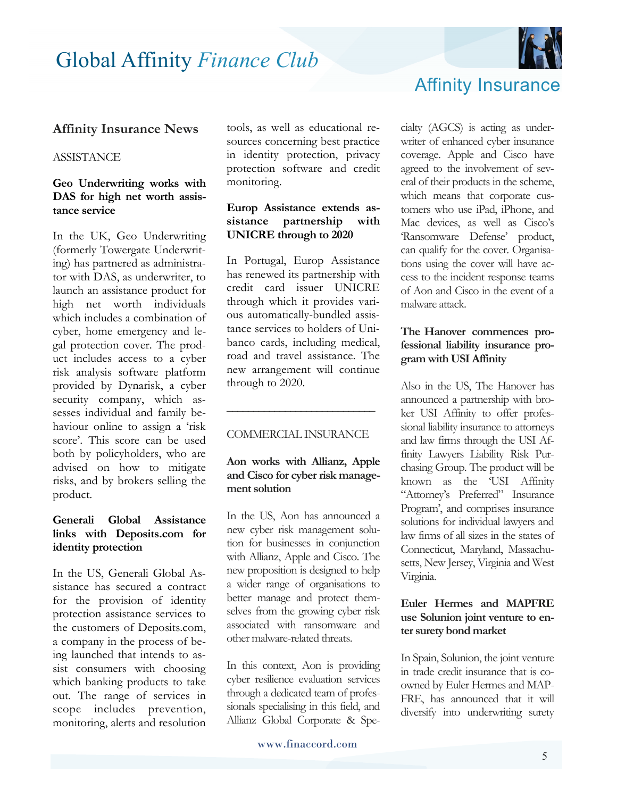

#### **Affinity Insurance News**

#### **ASSISTANCE**

#### **Geo Underwriting works with DAS for high net worth assistance service**

In the UK, Geo Underwriting (formerly Towergate Underwriting) has partnered as administrator with DAS, as underwriter, to launch an assistance product for high net worth individuals which includes a combination of cyber, home emergency and legal protection cover. The product includes access to a cyber risk analysis software platform provided by Dynarisk, a cyber security company, which assesses individual and family behaviour online to assign a 'risk score'. This score can be used both by policyholders, who are advised on how to mitigate risks, and by brokers selling the product.

#### **Generali Global Assistance links with Deposits.com for identity protection**

In the US, Generali Global Assistance has secured a contract for the provision of identity protection assistance services to the customers of Deposits.com, a company in the process of being launched that intends to assist consumers with choosing which banking products to take out. The range of services in scope includes prevention, monitoring, alerts and resolution

tools, as well as educational resources concerning best practice in identity protection, privacy protection software and credit monitoring.

#### **Europ Assistance extends assistance partnership with UNICRE through to 2020**

In Portugal, Europ Assistance has renewed its partnership with credit card issuer UNICRE through which it provides various automatically-bundled assistance services to holders of Unibanco cards, including medical, road and travel assistance. The new arrangement will continue through to 2020.

#### COMMERCIAL INSURANCE

**\_\_\_\_\_\_\_\_\_\_\_\_\_\_\_\_\_\_\_\_\_\_\_\_\_\_\_\_**

#### **Aon works with Allianz, Apple and Cisco for cyber risk management solution**

In the US, Aon has announced a new cyber risk management solution for businesses in conjunction with Allianz, Apple and Cisco. The new proposition is designed to help a wider range of organisations to better manage and protect themselves from the growing cyber risk associated with ransomware and other malware-related threats.

In this context, Aon is providing cyber resilience evaluation services through a dedicated team of professionals specialising in this field, and Allianz Global Corporate & Spe-



Affinity Insurance

#### **The Hanover commences professional liability insurance program with USI Affinity**

Also in the US, The Hanover has announced a partnership with broker USI Affinity to offer professional liability insurance to attorneys and law firms through the USI Affinity Lawyers Liability Risk Purchasing Group. The product will be known as the 'USI Affinity "Attorney's Preferred" Insurance Program', and comprises insurance solutions for individual lawyers and law firms of all sizes in the states of Connecticut, Maryland, Massachusetts, New Jersey, Virginia and West Virginia.

#### **Euler Hermes and MAPFRE use Solunion joint venture to enter surety bond market**

In Spain, Solunion, the joint venture in trade credit insurance that is coowned by Euler Hermes and MAP-FRE, has announced that it will diversify into underwriting surety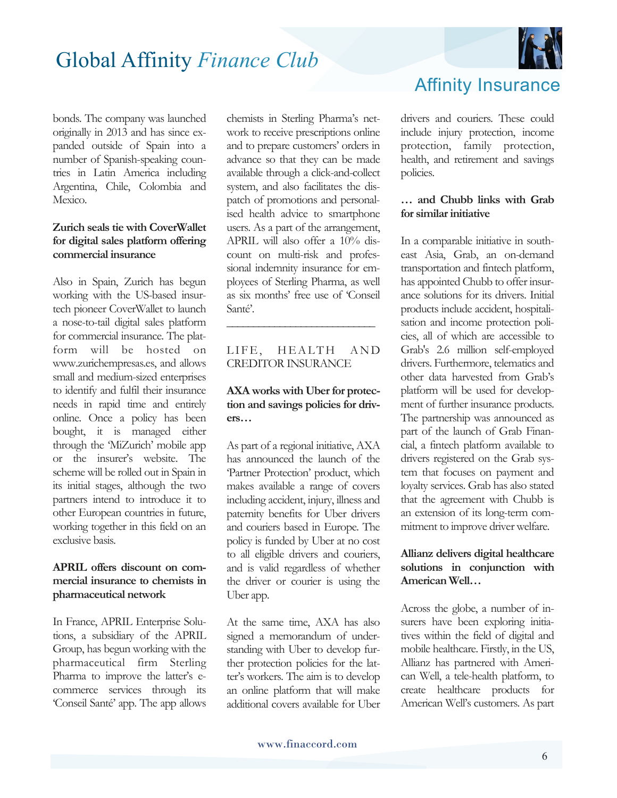

bonds. The company was launched originally in 2013 and has since expanded outside of Spain into a number of Spanish-speaking countries in Latin America including Argentina, Chile, Colombia and Mexico.

#### **Zurich seals tie with CoverWallet for digital sales platform offering commercial insurance**

Also in Spain, Zurich has begun working with the US-based insurtech pioneer CoverWallet to launch a nose-to-tail digital sales platform for commercial insurance. The platform will be hosted on www.zurichempresas.es, and allows small and medium-sized enterprises to identify and fulfil their insurance needs in rapid time and entirely online. Once a policy has been bought, it is managed either through the 'MiZurich' mobile app or the insurer's website. The scheme will be rolled out in Spain in its initial stages, although the two partners intend to introduce it to other European countries in future, working together in this field on an exclusive basis.

#### **APRIL offers discount on commercial insurance to chemists in pharmaceutical network**

In France, APRIL Enterprise Solutions, a subsidiary of the APRIL Group, has begun working with the pharmaceutical firm Sterling Pharma to improve the latter's ecommerce services through its 'Conseil Santé' app. The app allows chemists in Sterling Pharma's network to receive prescriptions online and to prepare customers' orders in advance so that they can be made available through a click-and-collect system, and also facilitates the dispatch of promotions and personalised health advice to smartphone users. As a part of the arrangement, APRIL will also offer a 10% discount on multi-risk and professional indemnity insurance for employees of Sterling Pharma, as well as six months' free use of 'Conseil Santé'.

#### LIFE, HEALTH AND CREDITOR INSURANCE

**\_\_\_\_\_\_\_\_\_\_\_\_\_\_\_\_\_\_\_\_\_\_\_\_\_\_\_\_** 

#### **AXA works with Uber for protection and savings policies for drivers…**

As part of a regional initiative, AXA has announced the launch of the 'Partner Protection' product, which makes available a range of covers including accident, injury, illness and paternity benefits for Uber drivers and couriers based in Europe. The policy is funded by Uber at no cost to all eligible drivers and couriers, and is valid regardless of whether the driver or courier is using the Uber app.

At the same time, AXA has also signed a memorandum of understanding with Uber to develop further protection policies for the latter's workers. The aim is to develop an online platform that will make additional covers available for Uber

## Affinity Insurance

drivers and couriers. These could include injury protection, income protection, family protection, health, and retirement and savings policies.

#### **… and Chubb links with Grab for similar initiative**

In a comparable initiative in southeast Asia, Grab, an on-demand transportation and fintech platform, has appointed Chubb to offer insurance solutions for its drivers. Initial products include accident, hospitalisation and income protection policies, all of which are accessible to Grab's 2.6 million self-employed drivers. Furthermore, telematics and other data harvested from Grab's platform will be used for development of further insurance products. The partnership was announced as part of the launch of Grab Financial, a fintech platform available to drivers registered on the Grab system that focuses on payment and loyalty services. Grab has also stated that the agreement with Chubb is an extension of its long-term commitment to improve driver welfare.

#### **Allianz delivers digital healthcare solutions in conjunction with American Well…**

Across the globe, a number of insurers have been exploring initiatives within the field of digital and mobile healthcare. Firstly, in the US, Allianz has partnered with American Well, a tele-health platform, to create healthcare products for American Well's customers. As part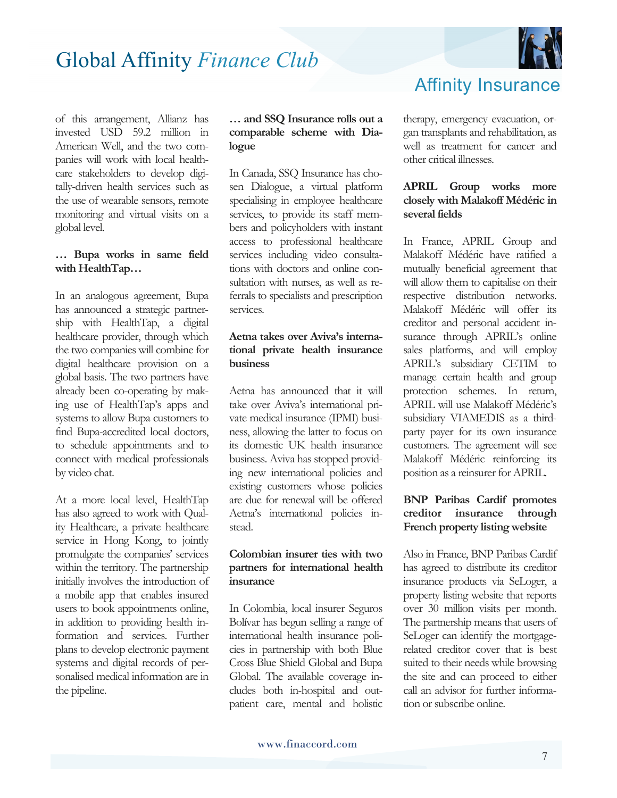

of this arrangement, Allianz has invested USD 59.2 million in American Well, and the two companies will work with local healthcare stakeholders to develop digitally-driven health services such as the use of wearable sensors, remote monitoring and virtual visits on a global level.

#### **… Bupa works in same field with HealthTap…**

In an analogous agreement, Bupa has announced a strategic partnership with HealthTap, a digital healthcare provider, through which the two companies will combine for digital healthcare provision on a global basis. The two partners have already been co-operating by making use of HealthTap's apps and systems to allow Bupa customers to find Bupa-accredited local doctors, to schedule appointments and to connect with medical professionals by video chat.

At a more local level, HealthTap has also agreed to work with Quality Healthcare, a private healthcare service in Hong Kong, to jointly promulgate the companies' services within the territory. The partnership initially involves the introduction of a mobile app that enables insured users to book appointments online, in addition to providing health information and services. Further plans to develop electronic payment systems and digital records of personalised medical information are in the pipeline.

#### **… and SSQ Insurance rolls out a comparable scheme with Dialogue**

In Canada, SSQ Insurance has chosen Dialogue, a virtual platform specialising in employee healthcare services, to provide its staff members and policyholders with instant access to professional healthcare services including video consultations with doctors and online consultation with nurses, as well as referrals to specialists and prescription services.

#### **Aetna takes over Aviva's international private health insurance business**

Aetna has announced that it will take over Aviva's international private medical insurance (IPMI) business, allowing the latter to focus on its domestic UK health insurance business. Aviva has stopped providing new international policies and existing customers whose policies are due for renewal will be offered Aetna's international policies instead.

#### **Colombian insurer ties with two partners for international health insurance**

In Colombia, local insurer Seguros Bolívar has begun selling a range of international health insurance policies in partnership with both Blue Cross Blue Shield Global and Bupa Global. The available coverage includes both in-hospital and outpatient care, mental and holistic Affinity Insurance

therapy, emergency evacuation, organ transplants and rehabilitation, as well as treatment for cancer and other critical illnesses.

#### **APRIL Group works more closely with Malakoff Médéric in several fields**

In France, APRIL Group and Malakoff Médéric have ratified a mutually beneficial agreement that will allow them to capitalise on their respective distribution networks. Malakoff Médéric will offer its creditor and personal accident insurance through APRIL's online sales platforms, and will employ APRIL's subsidiary CETIM to manage certain health and group protection schemes. In return, APRIL will use Malakoff Médéric's subsidiary VIAMEDIS as a thirdparty payer for its own insurance customers. The agreement will see Malakoff Médéric reinforcing its position as a reinsurer for APRIL.

#### **BNP Paribas Cardif promotes creditor insurance through French property listing website**

Also in France, BNP Paribas Cardif has agreed to distribute its creditor insurance products via SeLoger, a property listing website that reports over 30 million visits per month. The partnership means that users of SeLoger can identify the mortgagerelated creditor cover that is best suited to their needs while browsing the site and can proceed to either call an advisor for further information or subscribe online.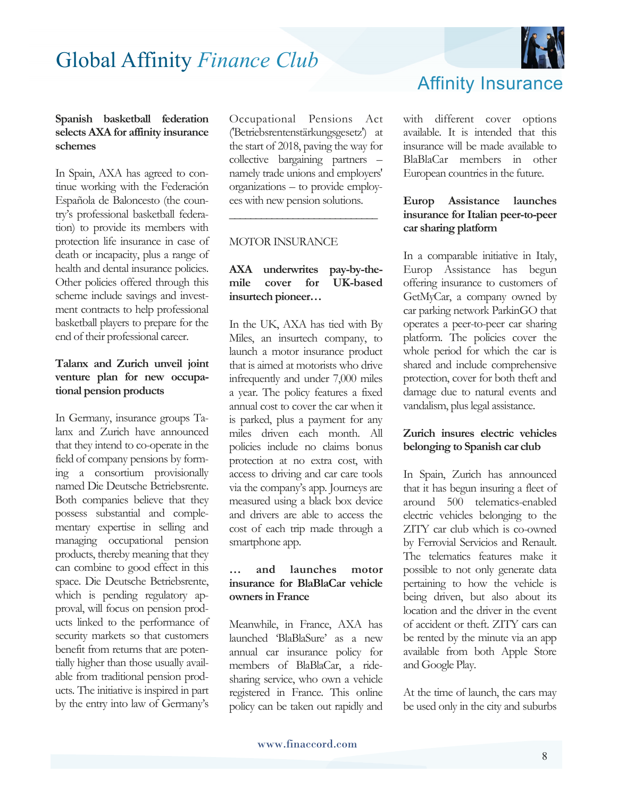

In Spain, AXA has agreed to continue working with the Federación Española de Baloncesto (the country's professional basketball federation) to provide its members with protection life insurance in case of death or incapacity, plus a range of health and dental insurance policies. Other policies offered through this scheme include savings and investment contracts to help professional basketball players to prepare for the end of their professional career.

#### **Talanx and Zurich unveil joint venture plan for new occupational pension products**

In Germany, insurance groups Talanx and Zurich have announced that they intend to co-operate in the field of company pensions by forming a consortium provisionally named Die Deutsche Betriebsrente. Both companies believe that they possess substantial and complementary expertise in selling and managing occupational pension products, thereby meaning that they can combine to good effect in this space. Die Deutsche Betriebsrente, which is pending regulatory approval, will focus on pension products linked to the performance of security markets so that customers benefit from returns that are potentially higher than those usually available from traditional pension products. The initiative is inspired in part by the entry into law of Germany's

Occupational Pensions Act ('Betriebsrentenstärkungsgesetz') at the start of 2018, paving the way for collective bargaining partners – namely trade unions and employers' organizations – to provide employees with new pension solutions.

**\_\_\_\_\_\_\_\_\_\_\_\_\_\_\_\_\_\_\_\_\_\_\_\_\_\_\_\_**

#### MOTOR INSURANCE

#### **AXA underwrites pay-by-themile cover for UK-based insurtech pioneer…**

In the UK, AXA has tied with By Miles, an insurtech company, to launch a motor insurance product that is aimed at motorists who drive infrequently and under 7,000 miles a year. The policy features a fixed annual cost to cover the car when it is parked, plus a payment for any miles driven each month. All policies include no claims bonus protection at no extra cost, with access to driving and car care tools via the company's app. Journeys are measured using a black box device and drivers are able to access the cost of each trip made through a smartphone app.

#### **… and launches motor insurance for BlaBlaCar vehicle owners in France**

Meanwhile, in France, AXA has launched 'BlaBlaSure' as a new annual car insurance policy for members of BlaBlaCar, a ridesharing service, who own a vehicle registered in France. This online policy can be taken out rapidly and



#### Affinity Insurance

with different cover options available. It is intended that this insurance will be made available to BlaBlaCar members in other European countries in the future.

#### **Europ Assistance launches insurance for Italian peer-to-peer car sharing platform**

In a comparable initiative in Italy, Europ Assistance has begun offering insurance to customers of GetMyCar, a company owned by car parking network ParkinGO that operates a peer-to-peer car sharing platform. The policies cover the whole period for which the car is shared and include comprehensive protection, cover for both theft and damage due to natural events and vandalism, plus legal assistance.

#### **Zurich insures electric vehicles belonging to Spanish car club**

In Spain, Zurich has announced that it has begun insuring a fleet of around 500 telematics-enabled electric vehicles belonging to the ZITY car club which is co-owned by Ferrovial Servicios and Renault. The telematics features make it possible to not only generate data pertaining to how the vehicle is being driven, but also about its location and the driver in the event of accident or theft. ZITY cars can be rented by the minute via an app available from both Apple Store and Google Play.

At the time of launch, the cars may be used only in the city and suburbs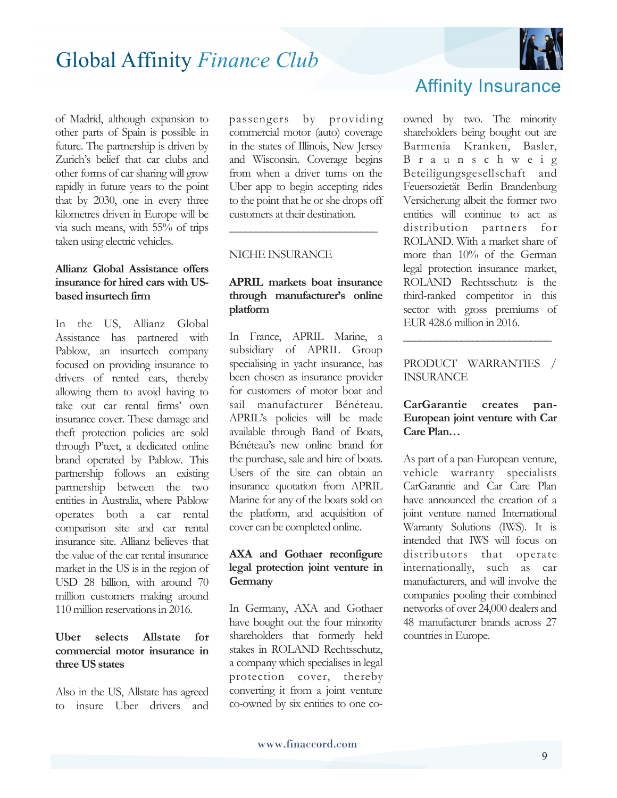

of Madrid, although expansion to other parts of Spain is possible in future. The partnership is driven by Zurich's belief that car clubs and other forms of car sharing will grow rapidly in future years to the point that by 2030, one in every three kilometres driven in Europe will be via such means, with 55% of trips taken using electric vehicles.

#### **Allianz Global Assistance offers insurance for hired cars with USbased insurtech firm**

In the US, Allianz Global Assistance has partnered with Pablow, an insurtech company focused on providing insurance to drivers of rented cars, thereby allowing them to avoid having to take out car rental firms' own insurance cover. These damage and theft protection policies are sold through P'teet, a dedicated online brand operated by Pablow. This partnership follows an existing partnership between the two entities in Australia, where Pablow operates both a car rental comparison site and car rental insurance site. Allianz believes that the value of the car rental insurance market in the US is in the region of USD 28 billion, with around 70 million customers making around 110 million reservations in 2016.

#### **Uber selects Allstate for commercial motor insurance in three US states**

Also in the US, Allstate has agreed to insure Uber drivers and

passengers by providing commercial motor (auto) coverage in the states of Illinois, New Jersey and Wisconsin. Coverage begins from when a driver turns on the Uber app to begin accepting rides to the point that he or she drops off customers at their destination.

**\_\_\_\_\_\_\_\_\_\_\_\_\_\_\_\_\_\_\_\_\_\_\_\_\_\_\_\_**

#### NICHE INSURANCE

#### **APRIL markets boat insurance through manufacturer's online platform**

In France, APRIL Marine, a subsidiary of APRIL Group specialising in yacht insurance, has been chosen as insurance provider for customers of motor boat and sail manufacturer Bénéteau. APRIL's policies will be made available through Band of Boats, Bénéteau's new online brand for the purchase, sale and hire of boats. Users of the site can obtain an insurance quotation from APRIL Marine for any of the boats sold on the platform, and acquisition of cover can be completed online.

#### **AXA and Gothaer reconfigure legal protection joint venture in Germany**

In Germany, AXA and Gothaer have bought out the four minority shareholders that formerly held stakes in ROLAND Rechtsschutz, a company which specialises in legal protection cover, thereby converting it from a joint venture co-owned by six entities to one co-

### Affinity Insurance

owned by two. The minority shareholders being bought out are Barmenia Kranken, Basler, B r a u n s c h w e i g Beteiligungsgesellschaft and Feuersozietät Berlin Brandenburg Versicherung albeit the former two entities will continue to act as distribution partners for ROLAND. With a market share of more than 10% of the German legal protection insurance market, ROLAND Rechtsschutz is the third-ranked competitor in this sector with gross premiums of EUR 428.6 million in 2016.

#### PRODUCT WARRANTIES / INSURANCE

**\_\_\_\_\_\_\_\_\_\_\_\_\_\_\_\_\_\_\_\_\_\_\_\_\_\_\_\_**

#### **CarGarantie creates pan-European joint venture with Car Care Plan…**

As part of a pan-European venture, vehicle warranty specialists CarGarantie and Car Care Plan have announced the creation of a joint venture named International Warranty Solutions (IWS). It is intended that IWS will focus on distributors that operate internationally, such as car manufacturers, and will involve the companies pooling their combined networks of over 24,000 dealers and 48 manufacturer brands across 27 countries in Europe.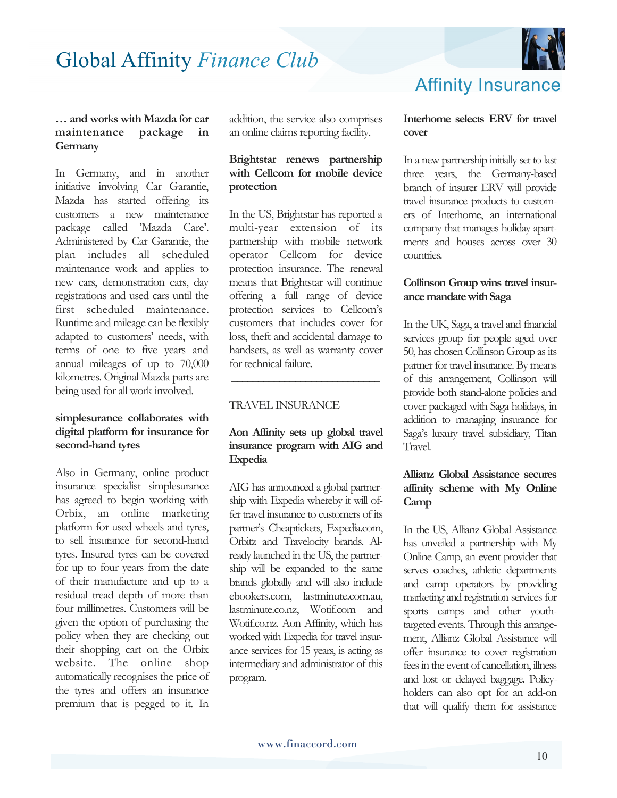

#### **… and works with Mazda for car maintenance package in Germany**

In Germany, and in another initiative involving Car Garantie, Mazda has started offering its customers a new maintenance package called 'Mazda Care'. Administered by Car Garantie, the plan includes all scheduled maintenance work and applies to new cars, demonstration cars, day registrations and used cars until the first scheduled maintenance. Runtime and mileage can be flexibly adapted to customers' needs, with terms of one to five years and annual mileages of up to 70,000 kilometres. Original Mazda parts are being used for all work involved.

#### **simplesurance collaborates with digital platform for insurance for second-hand tyres**

Also in Germany, online product insurance specialist simplesurance has agreed to begin working with Orbix, an online marketing platform for used wheels and tyres, to sell insurance for second-hand tyres. Insured tyres can be covered for up to four years from the date of their manufacture and up to a residual tread depth of more than four millimetres. Customers will be given the option of purchasing the policy when they are checking out their shopping cart on the Orbix website. The online shop automatically recognises the price of the tyres and offers an insurance premium that is pegged to it. In

addition, the service also comprises an online claims reporting facility.

#### **Brightstar renews partnership with Cellcom for mobile device protection**

In the US, Brightstar has reported a multi-year extension of its partnership with mobile network operator Cellcom for device protection insurance. The renewal means that Brightstar will continue offering a full range of device protection services to Cellcom's customers that includes cover for loss, theft and accidental damage to handsets, as well as warranty cover for technical failure.

#### TRAVEL INSURANCE

#### **Aon Affinity sets up global travel insurance program with AIG and Expedia**

 **\_\_\_\_\_\_\_\_\_\_\_\_\_\_\_\_\_\_\_\_\_\_\_\_\_\_\_\_**

AIG has announced a global partnership with Expedia whereby it will offer travel insurance to customers of its partner's Cheaptickets, Expedia.com, Orbitz and Travelocity brands. Already launched in the US, the partnership will be expanded to the same brands globally and will also include ebookers.com, lastminute.com.au, lastminute.co.nz, Wotif.com and Wotif.co.nz. Aon Affinity, which has worked with Expedia for travel insurance services for 15 years, is acting as intermediary and administrator of this program.

#### **Interhome selects ERV for travel cover**

In a new partnership initially set to last three years, the Germany-based branch of insurer ERV will provide travel insurance products to customers of Interhome, an international company that manages holiday apartments and houses across over 30 countries.

#### **Collinson Group wins travel insurance mandate with Saga**

In the UK, Saga, a travel and financial services group for people aged over 50, has chosen Collinson Group as its partner for travel insurance. By means of this arrangement, Collinson will provide both stand-alone policies and cover packaged with Saga holidays, in addition to managing insurance for Saga's luxury travel subsidiary, Titan Travel.

#### **Allianz Global Assistance secures affinity scheme with My Online Camp**

In the US, Allianz Global Assistance has unveiled a partnership with My Online Camp, an event provider that serves coaches, athletic departments and camp operators by providing marketing and registration services for sports camps and other youthtargeted events. Through this arrangement, Allianz Global Assistance will offer insurance to cover registration fees in the event of cancellation, illness and lost or delayed baggage. Policyholders can also opt for an add-on that will qualify them for assistance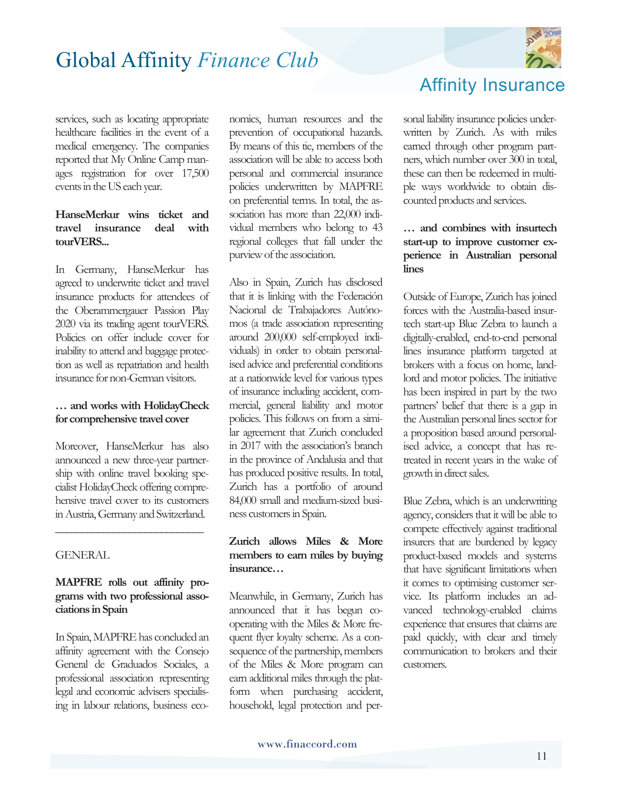

services, such as locating appropriate healthcare facilities in the event of a medical emergency. The companies reported that My Online Camp manages registration for over 17,500 events in the US each year.

#### **HanseMerkur wins ticket and travel insurance deal with tourVERS...**

In Germany, HanseMerkur has agreed to underwrite ticket and travel insurance products for attendees of the Oberammergauer Passion Play 2020 via its trading agent tourVERS. Policies on offer include cover for inability to attend and baggage protection as well as repatriation and health insurance for non-German visitors.

#### **… and works with HolidayCheck for comprehensive travel cover**

Moreover, HanseMerkur has also announced a new three-year partnership with online travel booking specialist HolidayCheck offering comprehensive travel cover to its customers in Austria, Germany and Switzerland.

**\_\_\_\_\_\_\_\_\_\_\_\_\_\_\_\_\_\_\_\_\_\_\_\_\_\_\_\_**

#### **GENERAL**

#### **MAPFRE rolls out affinity programs with two professional associations in Spain**

In Spain, MAPFRE has concluded an affinity agreement with the Consejo General de Graduados Sociales, a professional association representing legal and economic advisers specialising in labour relations, business economics, human resources and the prevention of occupational hazards. By means of this tie, members of the association will be able to access both personal and commercial insurance policies underwritten by MAPFRE on preferential terms. In total, the association has more than 22,000 individual members who belong to 43 regional colleges that fall under the purview of the association.

Also in Spain, Zurich has disclosed that it is linking with the Federación Nacional de Trabajadores Autónomos (a trade association representing around 200,000 self-employed individuals) in order to obtain personalised advice and preferential conditions at a nationwide level for various types of insurance including accident, commercial, general liability and motor policies. This follows on from a similar agreement that Zurich concluded in 2017 with the association's branch in the province of Andalusia and that has produced positive results. In total, Zurich has a portfolio of around 84,000 small and medium-sized business customers in Spain.

#### **Zurich allows Miles & More members to earn miles by buying insurance…**

Meanwhile, in Germany, Zurich has announced that it has begun cooperating with the Miles & More frequent flyer loyalty scheme. As a consequence of the partnership, members of the Miles & More program can earn additional miles through the platform when purchasing accident, household, legal protection and per-

## Affinity Insurance

sonal liability insurance policies underwritten by Zurich. As with miles earned through other program partners, which number over 300 in total, these can then be redeemed in multiple ways worldwide to obtain discounted products and services.

#### **… and combines with insurtech start-up to improve customer experience in Australian personal lines**

Outside of Europe, Zurich has joined forces with the Australia-based insurtech start-up Blue Zebra to launch a digitally-enabled, end-to-end personal lines insurance platform targeted at brokers with a focus on home, landlord and motor policies. The initiative has been inspired in part by the two partners' belief that there is a gap in the Australian personal lines sector for a proposition based around personalised advice, a concept that has retreated in recent years in the wake of growth in direct sales.

Blue Zebra, which is an underwriting agency, considers that it will be able to compete effectively against traditional insurers that are burdened by legacy product-based models and systems that have significant limitations when it comes to optimising customer service. Its platform includes an advanced technology-enabled claims experience that ensures that claims are paid quickly, with clear and timely communication to brokers and their customers.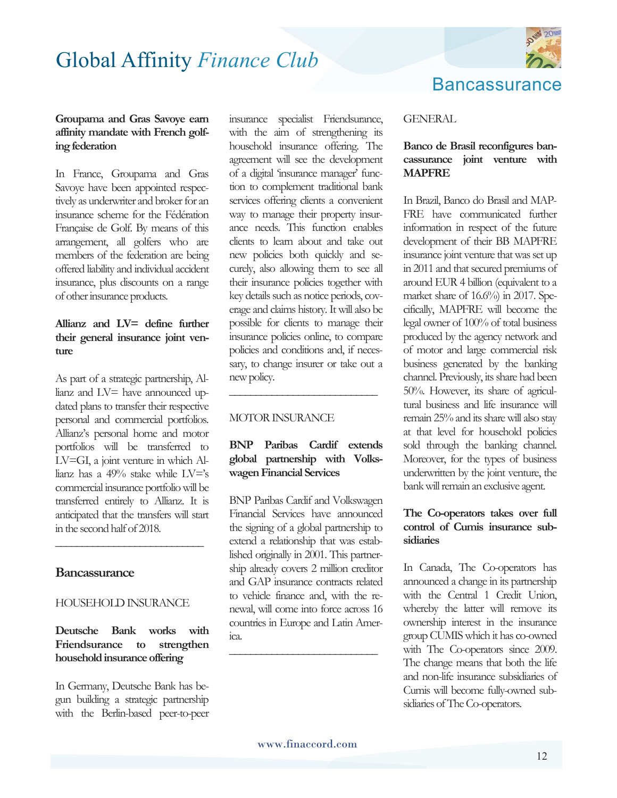

#### **Groupama and Gras Savoye earn affinity mandate with French golfing federation**

In France, Groupama and Gras Savoye have been appointed respectively as underwriter and broker for an insurance scheme for the Fédération Française de Golf. By means of this arrangement, all golfers who are members of the federation are being offered liability and individual accident insurance, plus discounts on a range of other insurance products.

#### **Allianz and LV= define further their general insurance joint venture**

As part of a strategic partnership, Allianz and LV= have announced updated plans to transfer their respective personal and commercial portfolios. Allianz's personal home and motor portfolios will be transferred to LV=GI, a joint venture in which Allianz has a 49% stake while LV='s commercial insurance portfolio will be transferred entirely to Allianz. It is anticipated that the transfers will start in the second half of 2018.

#### **Bancassurance**

#### HOUSEHOLD INSURANCE

**\_\_\_\_\_\_\_\_\_\_\_\_\_\_\_\_\_\_\_\_\_\_\_\_\_\_\_\_**

#### **Deutsche Bank works with Friendsurance to strengthen household insurance offering**

In Germany, Deutsche Bank has begun building a strategic partnership with the Berlin-based peer-to-peer

insurance specialist Friendsurance, with the aim of strengthening its household insurance offering. The agreement will see the development of a digital 'insurance manager' function to complement traditional bank services offering clients a convenient way to manage their property insurance needs. This function enables clients to learn about and take out new policies both quickly and securely, also allowing them to see all their insurance policies together with key details such as notice periods, coverage and claims history. It will also be possible for clients to manage their insurance policies online, to compare policies and conditions and, if necessary, to change insurer or take out a new policy.

#### MOTOR INSURANCE

#### **BNP Paribas Cardif extends global partnership with Volkswagen Financial Services**

**\_\_\_\_\_\_\_\_\_\_\_\_\_\_\_\_\_\_\_\_\_\_\_\_\_\_\_\_**

BNP Paribas Cardif and Volkswagen Financial Services have announced the signing of a global partnership to extend a relationship that was established originally in 2001. This partnership already covers 2 million creditor and GAP insurance contracts related to vehicle finance and, with the renewal, will come into force across 16 countries in Europe and Latin America.

**\_\_\_\_\_\_\_\_\_\_\_\_\_\_\_\_\_\_\_\_\_\_\_\_\_\_\_\_**

## **Bancassurance**

#### GENERAL

#### **Banco de Brasil reconfigures bancassurance joint venture with MAPFRE**

In Brazil, Banco do Brasil and MAP-FRE have communicated further information in respect of the future development of their BB MAPFRE insurance joint venture that was set up in 2011 and that secured premiums of around EUR 4 billion (equivalent to a market share of 16.6%) in 2017. Specifically, MAPFRE will become the legal owner of 100% of total business produced by the agency network and of motor and large commercial risk business generated by the banking channel. Previously, its share had been 50%. However, its share of agricultural business and life insurance will remain 25% and its share will also stay at that level for household policies sold through the banking channel. Moreover, for the types of business underwritten by the joint venture, the bank will remain an exclusive agent.

#### **The Co-operators takes over full control of Cumis insurance subsidiaries**

In Canada, The Co-operators has announced a change in its partnership with the Central 1 Credit Union, whereby the latter will remove its ownership interest in the insurance group CUMIS which it has co-owned with The Co-operators since 2009. The change means that both the life and non-life insurance subsidiaries of Cumis will become fully-owned subsidiaries of The Co-operators.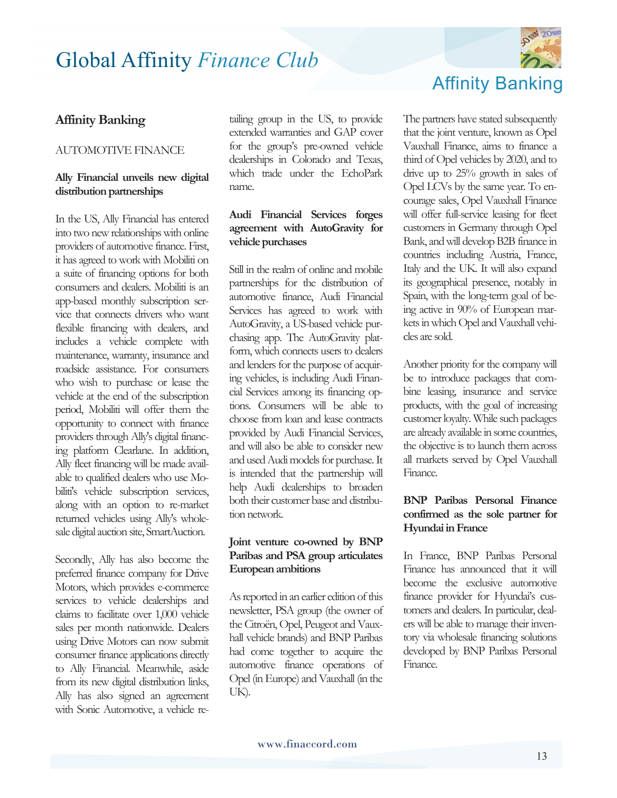#### **Affinity Banking**

#### AUTOMOTIVE FINANCE

#### **Ally Financial unveils new digital distribution partnerships**

In the US, Ally Financial has entered into two new relationships with online providers of automotive finance. First, it has agreed to work with Mobiliti on a suite of financing options for both consumers and dealers. Mobiliti is an app-based monthly subscription service that connects drivers who want flexible financing with dealers, and includes a vehicle complete with maintenance, warranty, insurance and roadside assistance. For consumers who wish to purchase or lease the vehicle at the end of the subscription period, Mobiliti will offer them the opportunity to connect with finance providers through Ally's digital financing platform Clearlane. In addition, Ally fleet financing will be made available to qualified dealers who use Mobiliti's vehicle subscription services, along with an option to re-market returned vehicles using Ally's wholesale digital auction site, SmartAuction.

Secondly, Ally has also become the preferred finance company for Drive Motors, which provides e-commerce services to vehicle dealerships and claims to facilitate over 1,000 vehicle sales per month nationwide. Dealers using Drive Motors can now submit consumer finance applications directly to Ally Financial. Meanwhile, aside from its new digital distribution links, Ally has also signed an agreement with Sonic Automotive, a vehicle re-

tailing group in the US, to provide extended warranties and GAP cover for the group's pre-owned vehicle dealerships in Colorado and Texas, which trade under the EchoPark name.

#### **Audi Financial Services forges agreement with AutoGravity for vehicle purchases**

Still in the realm of online and mobile partnerships for the distribution of automotive finance, Audi Financial Services has agreed to work with AutoGravity, a US-based vehicle purchasing app. The AutoGravity platform, which connects users to dealers and lenders for the purpose of acquiring vehicles, is including Audi Financial Services among its financing options. Consumers will be able to choose from loan and lease contracts provided by Audi Financial Services, and will also be able to consider new and used Audi models for purchase. It is intended that the partnership will help Audi dealerships to broaden both their customer base and distribution network.

#### **Joint venture co-owned by BNP Paribas and PSA group articulates European ambitions**

As reported in an earlier edition of this newsletter, PSA group (the owner of the Citroën, Opel, Peugeot and Vauxhall vehicle brands) and BNP Paribas had come together to acquire the automotive finance operations of Opel (in Europe) and Vauxhall (in the UK).



The partners have stated subsequently that the joint venture, known as Opel Vauxhall Finance, aims to finance a third of Opel vehicles by 2020, and to drive up to 25% growth in sales of Opel LCVs by the same year. To encourage sales, Opel Vauxhall Finance will offer full-service leasing for fleet customers in Germany through Opel Bank, and will develop B2B finance in countries including Austria, France, Italy and the UK. It will also expand its geographical presence, notably in Spain, with the long-term goal of being active in 90% of European markets in which Opel and Vauxhall vehicles are sold.

Another priority for the company will be to introduce packages that combine leasing, insurance and service products, with the goal of increasing customer loyalty. While such packages are already available in some countries, the objective is to launch them across all markets served by Opel Vauxhall Finance.

#### **BNP Paribas Personal Finance confirmed as the sole partner for Hyundai in France**

In France, BNP Paribas Personal Finance has announced that it will become the exclusive automotive finance provider for Hyundai's customers and dealers. In particular, dealers will be able to manage their inventory via wholesale financing solutions developed by BNP Paribas Personal Finance.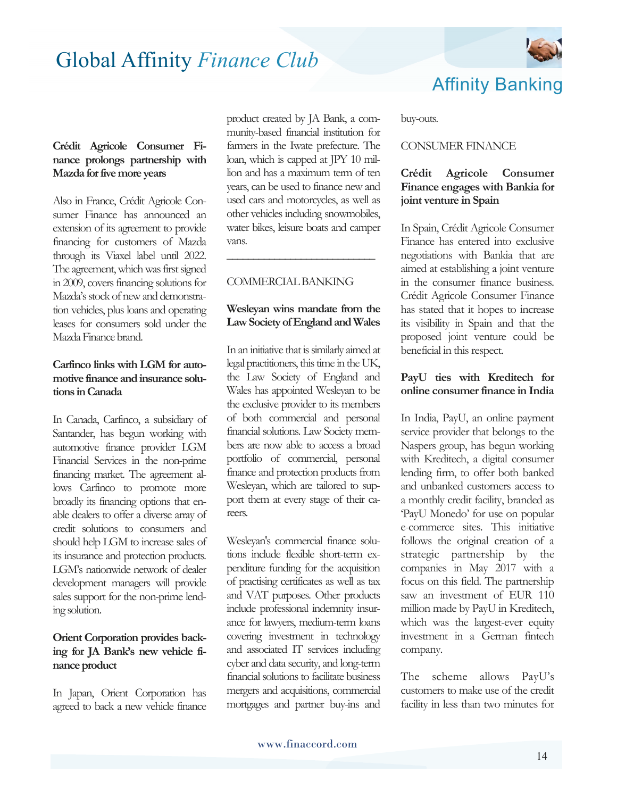#### **Crédit Agricole Consumer Finance prolongs partnership with Mazda for five more years**

Also in France, Crédit Agricole Consumer Finance has announced an extension of its agreement to provide financing for customers of Mazda through its Viaxel label until 2022. The agreement, which was first signed in 2009, covers financing solutions for Mazda's stock of new and demonstration vehicles, plus loans and operating leases for consumers sold under the Mazda Finance brand.

#### **Carfinco links with LGM for automotive finance and insurance solutions in Canada**

In Canada, Carfinco, a subsidiary of Santander, has begun working with automotive finance provider LGM Financial Services in the non-prime financing market. The agreement allows Carfinco to promote more broadly its financing options that enable dealers to offer a diverse array of credit solutions to consumers and should help LGM to increase sales of its insurance and protection products. LGM's nationwide network of dealer development managers will provide sales support for the non-prime lending solution.

#### **Orient Corporation provides backing for JA Bank's new vehicle finance product**

In Japan, Orient Corporation has agreed to back a new vehicle finance product created by JA Bank, a community-based financial institution for farmers in the Iwate prefecture. The loan, which is capped at JPY 10 million and has a maximum term of ten years, can be used to finance new and used cars and motorcycles, as well as other vehicles including snowmobiles, water bikes, leisure boats and camper vans.

#### COMMERCIAL BANKING

#### **Wesleyan wins mandate from the Law Society of England and Wales**

**\_\_\_\_\_\_\_\_\_\_\_\_\_\_\_\_\_\_\_\_\_\_\_\_\_\_\_\_**

In an initiative that is similarly aimed at legal practitioners, this time in the UK, the Law Society of England and Wales has appointed Wesleyan to be the exclusive provider to its members of both commercial and personal financial solutions. Law Society members are now able to access a broad portfolio of commercial, personal finance and protection products from Wesleyan, which are tailored to support them at every stage of their careers.

Wesleyan's commercial finance solutions include flexible short-term expenditure funding for the acquisition of practising certificates as well as tax and VAT purposes. Other products include professional indemnity insurance for lawyers, medium-term loans covering investment in technology and associated IT services including cyber and data security, and long-term financial solutions to facilitate business mergers and acquisitions, commercial mortgages and partner buy-ins and

buy-outs.

#### CONSUMER FINANCE

#### **Crédit Agricole Consumer Finance engages with Bankia for joint venture in Spain**

In Spain, Crédit Agricole Consumer Finance has entered into exclusive negotiations with Bankia that are aimed at establishing a joint venture in the consumer finance business. Crédit Agricole Consumer Finance has stated that it hopes to increase its visibility in Spain and that the proposed joint venture could be beneficial in this respect.

#### **PayU ties with Kreditech for online consumer finance in India**

In India, PayU, an online payment service provider that belongs to the Naspers group, has begun working with Kreditech, a digital consumer lending firm, to offer both banked and unbanked customers access to a monthly credit facility, branded as 'PayU Monedo' for use on popular e-commerce sites. This initiative follows the original creation of a strategic partnership by the companies in May 2017 with a focus on this field. The partnership saw an investment of EUR 110 million made by PayU in Kreditech, which was the largest-ever equity investment in a German fintech company.

The scheme allows PayU's customers to make use of the credit facility in less than two minutes for

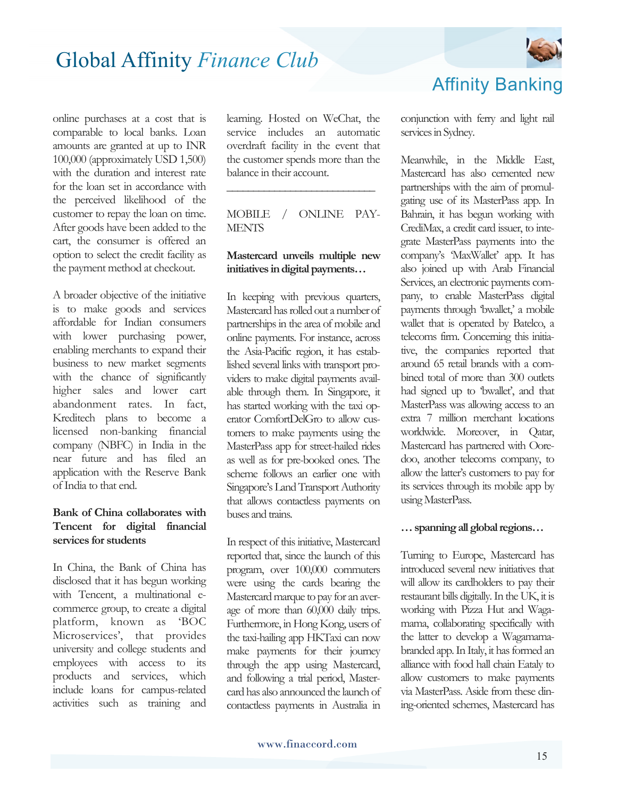

online purchases at a cost that is comparable to local banks. Loan amounts are granted at up to INR 100,000 (approximately USD 1,500) with the duration and interest rate for the loan set in accordance with the perceived likelihood of the customer to repay the loan on time. After goods have been added to the cart, the consumer is offered an option to select the credit facility as the payment method at checkout.

A broader objective of the initiative is to make goods and services affordable for Indian consumers with lower purchasing power, enabling merchants to expand their business to new market segments with the chance of significantly higher sales and lower cart abandonment rates. In fact, Kreditech plans to become a licensed non-banking financial company (NBFC) in India in the near future and has filed an application with the Reserve Bank of India to that end.

#### **Bank of China collaborates with Tencent for digital financial services for students**

In China, the Bank of China has disclosed that it has begun working with Tencent, a multinational ecommerce group, to create a digital platform, known as 'BOC Microservices', that provides university and college students and employees with access to its products and services, which include loans for campus-related activities such as training and learning. Hosted on WeChat, the service includes an automatic overdraft facility in the event that the customer spends more than the balance in their account.

MOBILE / ONLINE PAY-**MENTS** 

**\_\_\_\_\_\_\_\_\_\_\_\_\_\_\_\_\_\_\_\_\_\_\_\_\_\_\_\_**

#### **Mastercard unveils multiple new initiatives in digital payments…**

In keeping with previous quarters, Mastercard has rolled out a number of partnerships in the area of mobile and online payments. For instance, across the Asia-Pacific region, it has established several links with transport providers to make digital payments available through them. In Singapore, it has started working with the taxi operator ComfortDelGro to allow customers to make payments using the MasterPass app for street-hailed rides as well as for pre-booked ones. The scheme follows an earlier one with Singapore's Land Transport Authority that allows contactless payments on buses and trains.

In respect of this initiative, Mastercard reported that, since the launch of this program, over 100,000 commuters were using the cards bearing the Mastercard marque to pay for an average of more than 60,000 daily trips. Furthermore, in Hong Kong, users of the taxi-hailing app HKTaxi can now make payments for their journey through the app using Mastercard, and following a trial period, Mastercard has also announced the launch of contactless payments in Australia in conjunction with ferry and light rail services in Sydney.

Affinity Banking

Meanwhile, in the Middle East, Mastercard has also cemented new partnerships with the aim of promulgating use of its MasterPass app. In Bahrain, it has begun working with CrediMax, a credit card issuer, to integrate MasterPass payments into the company's 'MaxWallet' app. It has also joined up with Arab Financial Services, an electronic payments company, to enable MasterPass digital payments through 'bwallet,' a mobile wallet that is operated by Batelco, a telecoms firm. Concerning this initiative, the companies reported that around 65 retail brands with a combined total of more than 300 outlets had signed up to 'bwallet', and that MasterPass was allowing access to an extra 7 million merchant locations worldwide. Moreover, in Qatar, Mastercard has partnered with Ooredoo, another telecoms company, to allow the latter's customers to pay for its services through its mobile app by using MasterPass.

#### **… spanning all global regions…**

Turning to Europe, Mastercard has introduced several new initiatives that will allow its cardholders to pay their restaurant bills digitally. In the UK, it is working with Pizza Hut and Wagamama, collaborating specifically with the latter to develop a Wagamamabranded app. In Italy, it has formed an alliance with food hall chain Eataly to allow customers to make payments via MasterPass. Aside from these dining-oriented schemes, Mastercard has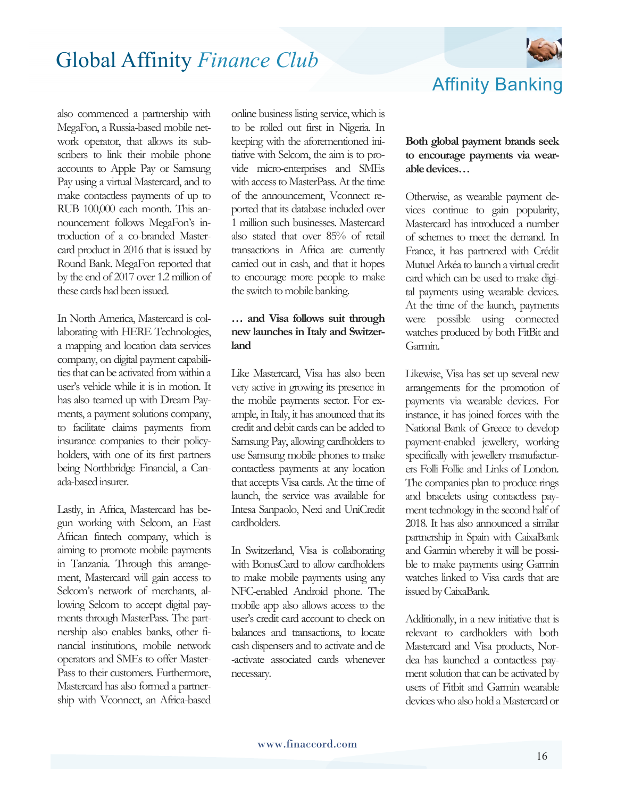

also commenced a partnership with MegaFon, a Russia-based mobile network operator, that allows its subscribers to link their mobile phone accounts to Apple Pay or Samsung Pay using a virtual Mastercard, and to make contactless payments of up to RUB 100,000 each month. This announcement follows MegaFon's introduction of a co-branded Mastercard product in 2016 that is issued by Round Bank. MegaFon reported that by the end of 2017 over 1.2 million of these cards had been issued.

In North America, Mastercard is collaborating with HERE Technologies, a mapping and location data services company, on digital payment capabilities that can be activated from within a user's vehicle while it is in motion. It has also teamed up with Dream Payments, a payment solutions company, to facilitate claims payments from insurance companies to their policyholders, with one of its first partners being Northbridge Financial, a Canada-based insurer.

Lastly, in Africa, Mastercard has begun working with Selcom, an East African fintech company, which is aiming to promote mobile payments in Tanzania. Through this arrangement, Mastercard will gain access to Selcom's network of merchants, allowing Selcom to accept digital payments through MasterPass. The partnership also enables banks, other financial institutions, mobile network operators and SMEs to offer Master-Pass to their customers. Furthermore, Mastercard has also formed a partnership with Vconnect, an Africa-based

online business listing service, which is to be rolled out first in Nigeria. In keeping with the aforementioned initiative with Selcom, the aim is to provide micro-enterprises and SMEs with access to MasterPass. At the time of the announcement, Vconnect reported that its database included over 1 million such businesses. Mastercard also stated that over 85% of retail transactions in Africa are currently carried out in cash, and that it hopes to encourage more people to make the switch to mobile banking.

#### **… and Visa follows suit through new launches in Italy and Switzerland**

Like Mastercard, Visa has also been very active in growing its presence in the mobile payments sector. For example, in Italy, it has anounced that its credit and debit cards can be added to Samsung Pay, allowing cardholders to use Samsung mobile phones to make contactless payments at any location that accepts Visa cards. At the time of launch, the service was available for Intesa Sanpaolo, Nexi and UniCredit cardholders.

In Switzerland, Visa is collaborating with BonusCard to allow cardholders to make mobile payments using any NFC-enabled Android phone. The mobile app also allows access to the user's credit card account to check on balances and transactions, to locate cash dispensers and to activate and de -activate associated cards whenever necessary.

#### **Both global payment brands seek to encourage payments via wearable devices…**

Otherwise, as wearable payment devices continue to gain popularity, Mastercard has introduced a number of schemes to meet the demand. In France, it has partnered with Crédit Mutuel Arkéa to launch a virtual credit card which can be used to make digital payments using wearable devices. At the time of the launch, payments were possible using connected watches produced by both FitBit and Garmin.

Likewise, Visa has set up several new arrangements for the promotion of payments via wearable devices. For instance, it has joined forces with the National Bank of Greece to develop payment-enabled jewellery, working specifically with jewellery manufacturers Folli Follie and Links of London. The companies plan to produce rings and bracelets using contactless payment technology in the second half of 2018. It has also announced a similar partnership in Spain with CaixaBank and Garmin whereby it will be possible to make payments using Garmin watches linked to Visa cards that are issued by CaixaBank.

Additionally, in a new initiative that is relevant to cardholders with both Mastercard and Visa products, Nordea has launched a contactless payment solution that can be activated by users of Fitbit and Garmin wearable devices who also hold a Mastercard or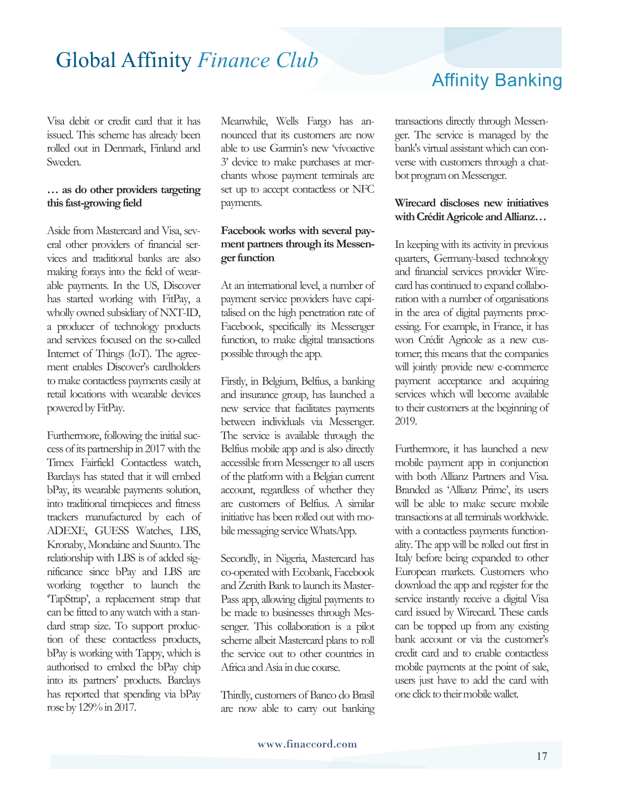Visa debit or credit card that it has issued. This scheme has already been rolled out in Denmark, Finland and Sweden.

#### **… as do other providers targeting this fast-growing field**

Aside from Mastercard and Visa, several other providers of financial services and traditional banks are also making forays into the field of wearable payments. In the US, Discover has started working with FitPay, a wholly owned subsidiary of NXT-ID, a producer of technology products and services focused on the so-called Internet of Things (IoT). The agreement enables Discover's cardholders to make contactless payments easily at retail locations with wearable devices powered by FitPay.

Furthermore, following the initial success of its partnership in 2017 with the Timex Fairfield Contactless watch, Barclays has stated that it will embed bPay, its wearable payments solution, into traditional timepieces and fitness trackers manufactured by each of ADEXE, GUESS Watches, LBS, Kronaby, Mondaine and Suunto. The relationship with LBS is of added significance since bPay and LBS are working together to launch the 'TapStrap', a replacement strap that can be fitted to any watch with a standard strap size. To support production of these contactless products, bPay is working with Tappy, which is authorised to embed the bPay chip into its partners' products. Barclays has reported that spending via bPay rose by 129% in 2017.

Meanwhile, Wells Fargo has announced that its customers are now able to use Garmin's new 'vívoactive 3' device to make purchases at merchants whose payment terminals are set up to accept contactless or NFC payments.

#### **Facebook works with several payment partners through its Messenger function**

At an international level, a number of payment service providers have capitalised on the high penetration rate of Facebook, specifically its Messenger function, to make digital transactions possible through the app.

Firstly, in Belgium, Belfius, a banking and insurance group, has launched a new service that facilitates payments between individuals via Messenger. The service is available through the Belfius mobile app and is also directly accessible from Messenger to all users of the platform with a Belgian current account, regardless of whether they are customers of Belfius. A similar initiative has been rolled out with mobile messaging service WhatsApp.

Secondly, in Nigeria, Mastercard has co-operated with Ecobank, Facebook and Zenith Bank to launch its Master-Pass app, allowing digital payments to be made to businesses through Messenger. This collaboration is a pilot scheme albeit Mastercard plans to roll the service out to other countries in Africa and Asia in due course.

Thirdly, customers of Banco do Brasil are now able to carry out banking

## Affinity Banking

transactions directly through Messenger. The service is managed by the bank's virtual assistant which can converse with customers through a chatbot program on Messenger.

#### **Wirecard discloses new initiatives with Crédit Agricole and Allianz…**

In keeping with its activity in previous quarters, Germany-based technology and financial services provider Wirecard has continued to expand collaboration with a number of organisations in the area of digital payments processing. For example, in France, it has won Crédit Agricole as a new customer; this means that the companies will jointly provide new e-commerce payment acceptance and acquiring services which will become available to their customers at the beginning of 2019.

Furthermore, it has launched a new mobile payment app in conjunction with both Allianz Partners and Visa. Branded as 'Allianz Prime', its users will be able to make secure mobile transactions at all terminals worldwide. with a contactless payments functionality. The app will be rolled out first in Italy before being expanded to other European markets. Customers who download the app and register for the service instantly receive a digital Visa card issued by Wirecard. These cards can be topped up from any existing bank account or via the customer's credit card and to enable contactless mobile payments at the point of sale, users just have to add the card with one click to their mobile wallet.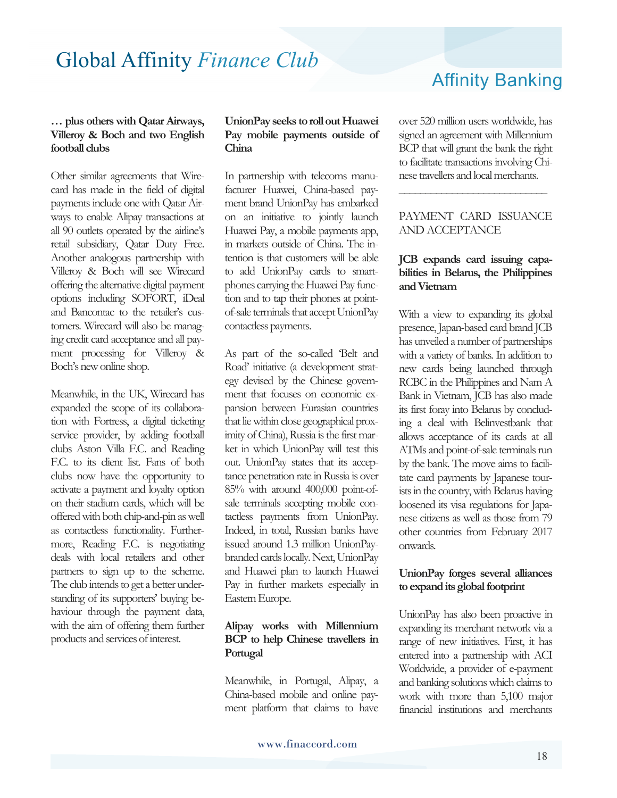#### **… plus others with Qatar Airways, Villeroy & Boch and two English football clubs**

Other similar agreements that Wirecard has made in the field of digital payments include one with Qatar Airways to enable Alipay transactions at all 90 outlets operated by the airline's retail subsidiary, Qatar Duty Free. Another analogous partnership with Villeroy & Boch will see Wirecard offering the alternative digital payment options including SOFORT, iDeal and Bancontac to the retailer's customers. Wirecard will also be managing credit card acceptance and all payment processing for Villeroy & Boch's new online shop.

Meanwhile, in the UK, Wirecard has expanded the scope of its collaboration with Fortress, a digital ticketing service provider, by adding football clubs Aston Villa F.C. and Reading F.C. to its client list. Fans of both clubs now have the opportunity to activate a payment and loyalty option on their stadium cards, which will be offered with both chip-and-pin as well as contactless functionality. Furthermore, Reading F.C. is negotiating deals with local retailers and other partners to sign up to the scheme. The club intends to get a better understanding of its supporters' buying behaviour through the payment data, with the aim of offering them further products and services of interest.

#### **UnionPay seeks to roll out Huawei Pay mobile payments outside of China**

In partnership with telecoms manufacturer Huawei, China-based payment brand UnionPay has embarked on an initiative to jointly launch Huawei Pay, a mobile payments app, in markets outside of China. The intention is that customers will be able to add UnionPay cards to smartphones carrying the Huawei Pay function and to tap their phones at pointof-sale terminals that accept UnionPay contactless payments.

As part of the so-called 'Belt and Road' initiative (a development strategy devised by the Chinese government that focuses on economic expansion between Eurasian countries that lie within close geographical proximity of China), Russia is the first market in which UnionPay will test this out. UnionPay states that its acceptance penetration rate in Russia is over 85% with around 400,000 point-ofsale terminals accepting mobile contactless payments from UnionPay. Indeed, in total, Russian banks have issued around 1.3 million UnionPaybranded cards locally. Next, UnionPay and Huawei plan to launch Huawei Pay in further markets especially in Eastern Europe.

#### **Alipay works with Millennium BCP to help Chinese travellers in Portugal**

Meanwhile, in Portugal, Alipay, a China-based mobile and online payment platform that claims to have

## Affinity Banking

over 520 million users worldwide, has signed an agreement with Millennium BCP that will grant the bank the right to facilitate transactions involving Chinese travellers and local merchants.

#### PAYMENT CARD ISSUANCE AND ACCEPTANCE

**\_\_\_\_\_\_\_\_\_\_\_\_\_\_\_\_\_\_\_\_\_\_\_\_\_\_\_\_** 

#### **JCB expands card issuing capabilities in Belarus, the Philippines and Vietnam**

With a view to expanding its global presence, Japan-based card brand JCB has unveiled a number of partnerships with a variety of banks. In addition to new cards being launched through RCBC in the Philippines and Nam A Bank in Vietnam, JCB has also made its first foray into Belarus by concluding a deal with Belinvestbank that allows acceptance of its cards at all ATMs and point-of-sale terminals run by the bank. The move aims to facilitate card payments by Japanese tourists in the country, with Belarus having loosened its visa regulations for Japanese citizens as well as those from 79 other countries from February 2017 onwards.

#### **UnionPay forges several alliances to expand its global footprint**

UnionPay has also been proactive in expanding its merchant network via a range of new initiatives. First, it has entered into a partnership with ACI Worldwide, a provider of e-payment and banking solutions which claims to work with more than 5,100 major financial institutions and merchants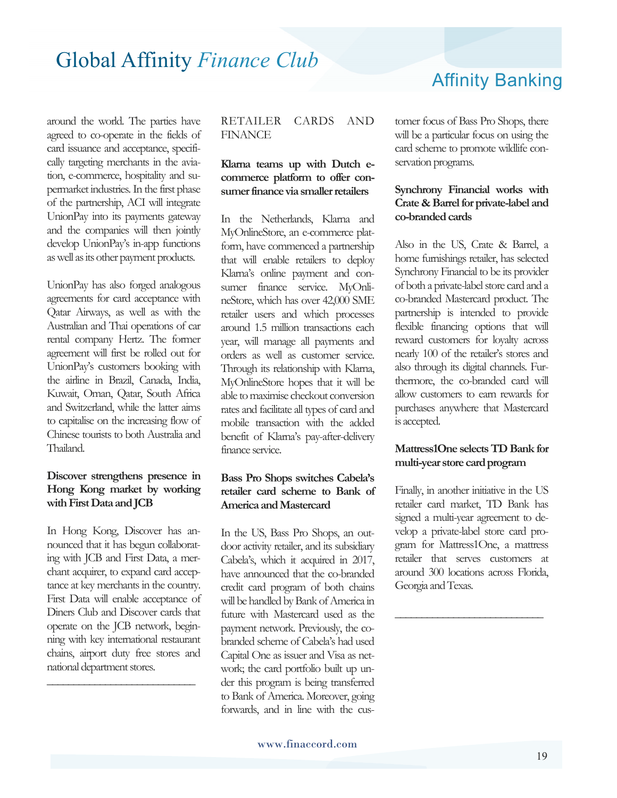around the world. The parties have agreed to co-operate in the fields of card issuance and acceptance, specifically targeting merchants in the aviation, e-commerce, hospitality and supermarket industries. In the first phase of the partnership, ACI will integrate UnionPay into its payments gateway and the companies will then jointly develop UnionPay's in-app functions as well as its other payment products.

UnionPay has also forged analogous agreements for card acceptance with Qatar Airways, as well as with the Australian and Thai operations of car rental company Hertz. The former agreement will first be rolled out for UnionPay's customers booking with the airline in Brazil, Canada, India, Kuwait, Oman, Qatar, South Africa and Switzerland, while the latter aims to capitalise on the increasing flow of Chinese tourists to both Australia and Thailand.

#### **Discover strengthens presence in Hong Kong market by working with First Data and JCB**

In Hong Kong, Discover has announced that it has begun collaborating with JCB and First Data, a merchant acquirer, to expand card acceptance at key merchants in the country. First Data will enable acceptance of Diners Club and Discover cards that operate on the JCB network, beginning with key international restaurant chains, airport duty free stores and national department stores.

**\_\_\_\_\_\_\_\_\_\_\_\_\_\_\_\_\_\_\_\_\_\_\_\_\_\_\_\_** 

#### RETAILER CARDS AND **FINANCE**

#### **Klarna teams up with Dutch ecommerce platform to offer consumer finance via smaller retailers**

In the Netherlands, Klarna and MyOnlineStore, an e-commerce platform, have commenced a partnership that will enable retailers to deploy Klarna's online payment and consumer finance service. MyOnlineStore, which has over 42,000 SME retailer users and which processes around 1.5 million transactions each year, will manage all payments and orders as well as customer service. Through its relationship with Klarna, MyOnlineStore hopes that it will be able to maximise checkout conversion rates and facilitate all types of card and mobile transaction with the added benefit of Klarna's pay-after-delivery finance service.

#### **Bass Pro Shops switches Cabela's retailer card scheme to Bank of America and Mastercard**

In the US, Bass Pro Shops, an outdoor activity retailer, and its subsidiary Cabela's, which it acquired in 2017, have announced that the co-branded credit card program of both chains will be handled by Bank of America in future with Mastercard used as the payment network. Previously, the cobranded scheme of Cabela's had used Capital One as issuer and Visa as network; the card portfolio built up under this program is being transferred to Bank of America. Moreover, going forwards, and in line with the cusAffinity Banking

tomer focus of Bass Pro Shops, there will be a particular focus on using the card scheme to promote wildlife conservation programs.

#### **Synchrony Financial works with Crate & Barrel for private-label and co-branded cards**

Also in the US, Crate & Barrel, a home furnishings retailer, has selected Synchrony Financial to be its provider of both a private-label store card and a co-branded Mastercard product. The partnership is intended to provide flexible financing options that will reward customers for loyalty across nearly 100 of the retailer's stores and also through its digital channels. Furthermore, the co-branded card will allow customers to earn rewards for purchases anywhere that Mastercard is accepted.

#### **Mattress1One selects TD Bank for multi-year store card program**

Finally, in another initiative in the US retailer card market, TD Bank has signed a multi-year agreement to develop a private-label store card program for Mattress1One, a mattress retailer that serves customers at around 300 locations across Florida, Georgia and Texas.

**\_\_\_\_\_\_\_\_\_\_\_\_\_\_\_\_\_\_\_\_\_\_\_\_\_\_\_\_**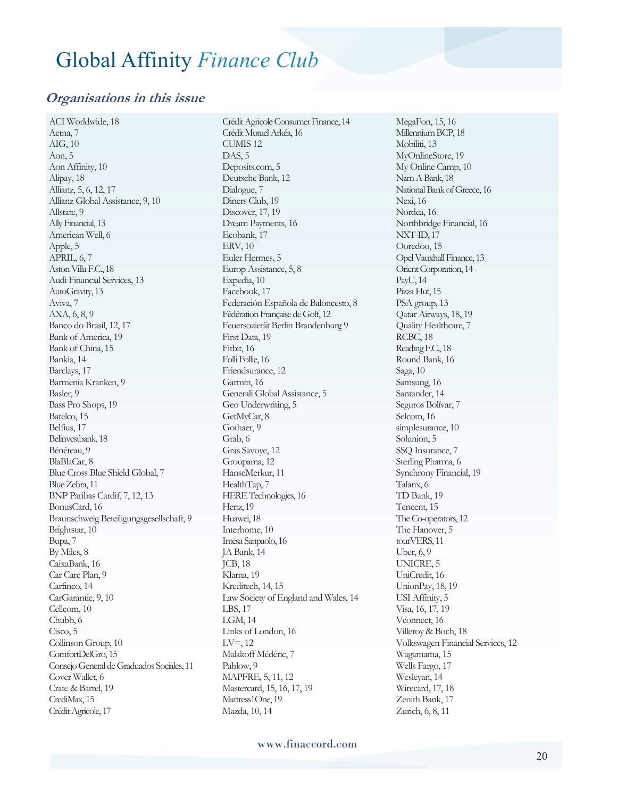#### **Organisations in this issue**

ACI Worldwide, 18 Aetna, 7 AIG, 10 Aon, 5 Aon Affinity, 10 Alipay, 18 Allianz, 5, 6, 12, 17 Allianz Global Assistance, 9, 10 Allstate, 9 Ally Financial, 13 American Well, 6 Apple, 5 APRIL, 6, 7 Aston Villa F.C., 18 Audi Financial Services, 13 AutoGravity, 13 Aviva, 7 AXA, 6, 8, 9 Banco do Brasil, 12, 17 Bank of America, 19 Bank of China, 15 Bankia, 14 Barclays, 17 Barmenia Kranken, 9 Basler, 9 Bass Pro Shops, 19 Batelco, 15 Belfius, 17 Belinvestbank, 18 Bénéteau, 9 BlaBlaCar, 8 Blue Cross Blue Shield Global, 7 Blue Zebra, 11 BNP Paribas Cardif, 7, 12, 13 BonusCard, 16 Braunschweig Beteiligungsgesellschaft, 9 Brightstar, 10 Bupa, 7 By Miles, 8 CaixaBank, 16 Car Care Plan, 9 Carfinco, 14 CarGarantie, 9, 10 Cellcom, 10 Chubb, 6 Cisco, 5 Collinson Group, 10 ComfortDelGro, 15 Consejo General de Graduados Sociales, 11 Cover Wallet, 6 Crate & Barrel, 19 CrediMax, 15 Crédit Agricole, 17

Crédit Agricole Consumer Finance, 14 Crédit Mutuel Arkéa, 16 CUMIS 12 DAS, 5 Deposits.com, 5 Deutsche Bank, 12 Dialogue, 7 Diners Club, 19 Discover, 17, 19 Dream Payments, 16 Ecobank, 17 ERV, 10 Euler Hermes, 5 Europ Assistance, 5, 8 Expedia, 10 Facebook, 17 Federación Española de Baloncesto, 8 Fédération Française de Golf, 12 Feuersozietät Berlin Brandenburg 9 First Data, 19 Fitbit, 16 Follie, 16 Friendsurance, 12 Garmin, 16 Generali Global Assistance, 5 Geo Underwriting, 5 GetMyCar, 8 Gothaer, 9 Grab, 6 Gras Savoye, 12 Groupama, 12 HanseMerkur, 11 HealthTap, 7 HERE Technologies, 16 Hertz, 19 Huawei, 18 Interhome, 10 Intesa Sanpaolo, 16 JA Bank, 14 JCB, 18 Klarna, 19 Kreditech, 14, 15 Law Society of England and Wales, 14 LBS, 17 LGM, 14 Links of London, 16  $LV=$ , 12 Malakoff Médéric, 7 Pablow, 9 MAPFRE, 5, 11, 12 Mastercard, 15, 16, 17, 19 Mattress1One, 19 Mazda, 10, 14

MegaFon, 15, 16 Millennium BCP, 18 Mobiliti, 13 MyOnlineStore, 19 My Online Camp, 10 Nam A Bank, 18 National Bank of Greece, 16 Nexi, 16 Nordea, 16 Northbridge Financial, 16 NXT-ID, 17 Ooredoo, 15 Opel Vauxhall Finance, 13 Orient Corporation, 14 PayU, 14 Pizza Hut, 15 PSA group, 13 Qatar Airways, 18, 19 Quality Healthcare, 7 RCBC, 18 Reading F.C., 18 Round Bank, 16 Saga, 10 Samsung, 16 Santander, 14 Seguros Bolívar, 7 Selcom, 16 simplesurance, 10 Solunion, 5 SSQ Insurance, 7 Sterling Pharma, 6 Synchrony Financial, 19 Talanx, 6 TD Bank, 19 Tencent, 15 The Co-operators, 12 The Hanover, 5 tourVERS, 11 Uber, 6, 9 UNICRE, 5 UniCredit, 16 UnionPay, 18, 19 USI Affinity, 5 Visa, 16, 17, 19 Vconnect, 16 Villeroy & Boch, 18 Volkswagen Financial Services, 12 Wagamama, 15 Wells Fargo, 17 Wesleyan, 14 Wirecard, 17, 18 Zenith Bank, 17 Zurich, 6, 8, 11